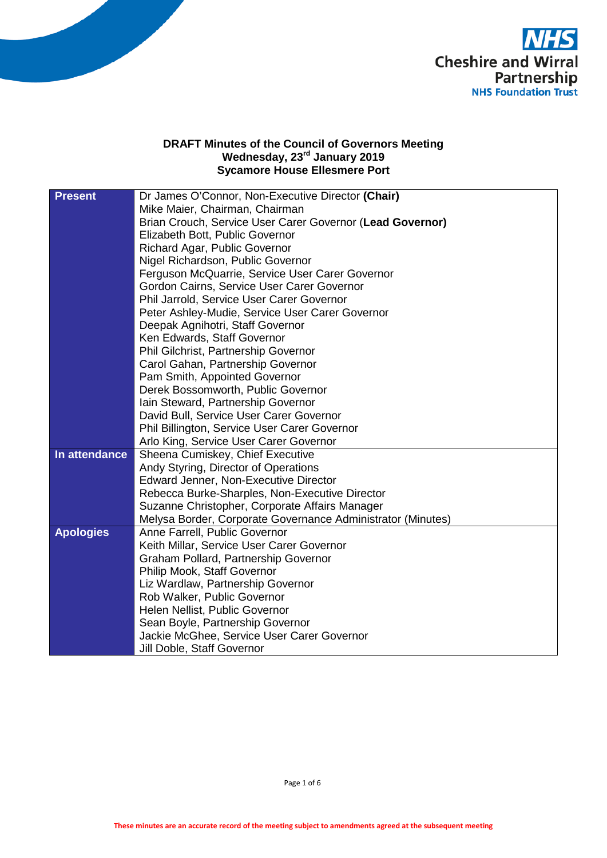

## **DRAFT Minutes of the Council of Governors Meeting Wednesday, 23rd January 2019 Sycamore House Ellesmere Port**

| <b>Present</b>   | Dr James O'Connor, Non-Executive Director (Chair)           |
|------------------|-------------------------------------------------------------|
|                  | Mike Maier, Chairman, Chairman                              |
|                  | Brian Crouch, Service User Carer Governor (Lead Governor)   |
|                  | Elizabeth Bott, Public Governor                             |
|                  | Richard Agar, Public Governor                               |
|                  | Nigel Richardson, Public Governor                           |
|                  | Ferguson McQuarrie, Service User Carer Governor             |
|                  | Gordon Cairns, Service User Carer Governor                  |
|                  | Phil Jarrold, Service User Carer Governor                   |
|                  | Peter Ashley-Mudie, Service User Carer Governor             |
|                  | Deepak Agnihotri, Staff Governor                            |
|                  | Ken Edwards, Staff Governor                                 |
|                  | Phil Gilchrist, Partnership Governor                        |
|                  | Carol Gahan, Partnership Governor                           |
|                  | Pam Smith, Appointed Governor                               |
|                  | Derek Bossomworth, Public Governor                          |
|                  | Iain Steward, Partnership Governor                          |
|                  | David Bull, Service User Carer Governor                     |
|                  | Phil Billington, Service User Carer Governor                |
|                  | Arlo King, Service User Carer Governor                      |
| In attendance    | Sheena Cumiskey, Chief Executive                            |
|                  | Andy Styring, Director of Operations                        |
|                  | Edward Jenner, Non-Executive Director                       |
|                  | Rebecca Burke-Sharples, Non-Executive Director              |
|                  | Suzanne Christopher, Corporate Affairs Manager              |
|                  | Melysa Border, Corporate Governance Administrator (Minutes) |
| <b>Apologies</b> | Anne Farrell, Public Governor                               |
|                  | Keith Millar, Service User Carer Governor                   |
|                  | Graham Pollard, Partnership Governor                        |
|                  | Philip Mook, Staff Governor                                 |
|                  | Liz Wardlaw, Partnership Governor                           |
|                  | Rob Walker, Public Governor                                 |
|                  | Helen Nellist, Public Governor                              |
|                  | Sean Boyle, Partnership Governor                            |
|                  | Jackie McGhee, Service User Carer Governor                  |
|                  | Jill Doble, Staff Governor                                  |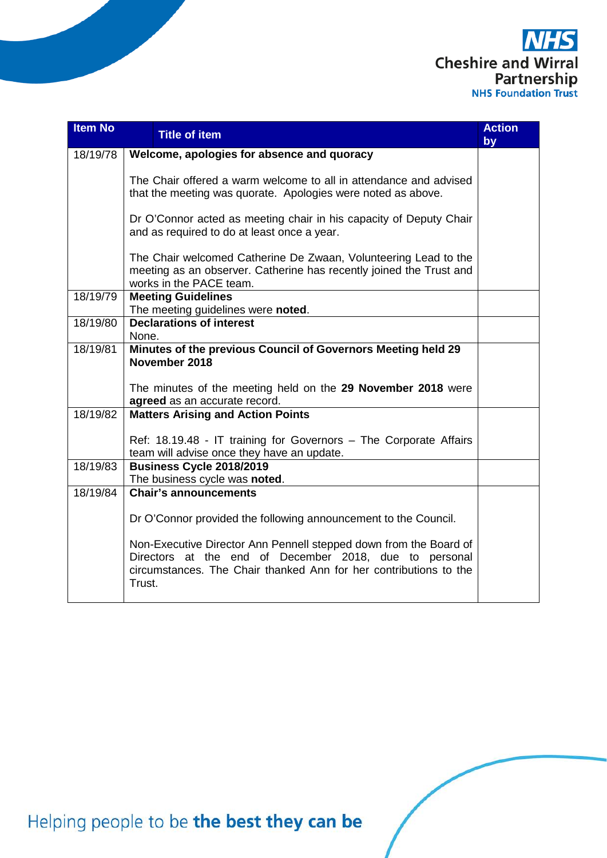

| <b>Item No</b> | <b>Title of item</b>                                                                                                                                                                                       | <b>Action</b><br>by |
|----------------|------------------------------------------------------------------------------------------------------------------------------------------------------------------------------------------------------------|---------------------|
| 18/19/78       | Welcome, apologies for absence and quoracy                                                                                                                                                                 |                     |
|                | The Chair offered a warm welcome to all in attendance and advised<br>that the meeting was quorate. Apologies were noted as above.                                                                          |                     |
|                | Dr O'Connor acted as meeting chair in his capacity of Deputy Chair<br>and as required to do at least once a year.                                                                                          |                     |
|                | The Chair welcomed Catherine De Zwaan, Volunteering Lead to the<br>meeting as an observer. Catherine has recently joined the Trust and<br>works in the PACE team.                                          |                     |
| 18/19/79       | <b>Meeting Guidelines</b>                                                                                                                                                                                  |                     |
|                | The meeting guidelines were noted.                                                                                                                                                                         |                     |
| 18/19/80       | <b>Declarations of interest</b><br>None.                                                                                                                                                                   |                     |
| 18/19/81       | Minutes of the previous Council of Governors Meeting held 29<br>November 2018                                                                                                                              |                     |
|                | The minutes of the meeting held on the 29 November 2018 were<br>agreed as an accurate record.                                                                                                              |                     |
| 18/19/82       | <b>Matters Arising and Action Points</b>                                                                                                                                                                   |                     |
|                | Ref: 18.19.48 - IT training for Governors - The Corporate Affairs<br>team will advise once they have an update.                                                                                            |                     |
| 18/19/83       | Business Cycle 2018/2019                                                                                                                                                                                   |                     |
|                | The business cycle was noted.                                                                                                                                                                              |                     |
| 18/19/84       | <b>Chair's announcements</b>                                                                                                                                                                               |                     |
|                | Dr O'Connor provided the following announcement to the Council.                                                                                                                                            |                     |
|                | Non-Executive Director Ann Pennell stepped down from the Board of<br>Directors at the end of December 2018, due to personal<br>circumstances. The Chair thanked Ann for her contributions to the<br>Trust. |                     |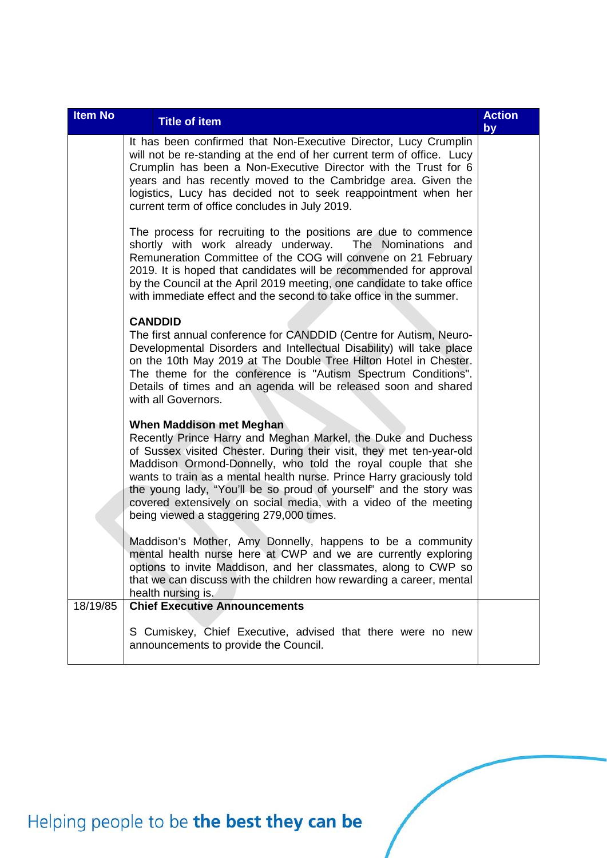| <b>Item No</b> | <b>Title of item</b>                                                                                                                                                                                                                                                                                                                                                                                                                                                                             | <b>Action</b><br>by |
|----------------|--------------------------------------------------------------------------------------------------------------------------------------------------------------------------------------------------------------------------------------------------------------------------------------------------------------------------------------------------------------------------------------------------------------------------------------------------------------------------------------------------|---------------------|
|                | It has been confirmed that Non-Executive Director, Lucy Crumplin<br>will not be re-standing at the end of her current term of office. Lucy<br>Crumplin has been a Non-Executive Director with the Trust for 6<br>years and has recently moved to the Cambridge area. Given the<br>logistics, Lucy has decided not to seek reappointment when her<br>current term of office concludes in July 2019.                                                                                               |                     |
|                | The process for recruiting to the positions are due to commence<br>shortly with work already underway.<br>The Nominations and<br>Remuneration Committee of the COG will convene on 21 February<br>2019. It is hoped that candidates will be recommended for approval<br>by the Council at the April 2019 meeting, one candidate to take office<br>with immediate effect and the second to take office in the summer.                                                                             |                     |
|                | <b>CANDDID</b><br>The first annual conference for CANDDID (Centre for Autism, Neuro-<br>Developmental Disorders and Intellectual Disability) will take place<br>on the 10th May 2019 at The Double Tree Hilton Hotel in Chester.<br>The theme for the conference is "Autism Spectrum Conditions".<br>Details of times and an agenda will be released soon and shared<br>with all Governors.                                                                                                      |                     |
|                | When Maddison met Meghan<br>Recently Prince Harry and Meghan Markel, the Duke and Duchess<br>of Sussex visited Chester. During their visit, they met ten-year-old<br>Maddison Ormond-Donnelly, who told the royal couple that she<br>wants to train as a mental health nurse. Prince Harry graciously told<br>the young lady, "You'll be so proud of yourself" and the story was<br>covered extensively on social media, with a video of the meeting<br>being viewed a staggering 279,000 times. |                     |
|                | Maddison's Mother, Amy Donnelly, happens to be a community<br>mental health nurse here at CWP and we are currently exploring<br>options to invite Maddison, and her classmates, along to CWP so<br>that we can discuss with the children how rewarding a career, mental<br>health nursing is.                                                                                                                                                                                                    |                     |
| 18/19/85       | <b>Chief Executive Announcements</b><br>S Cumiskey, Chief Executive, advised that there were no new<br>announcements to provide the Council.                                                                                                                                                                                                                                                                                                                                                     |                     |

| e |  |
|---|--|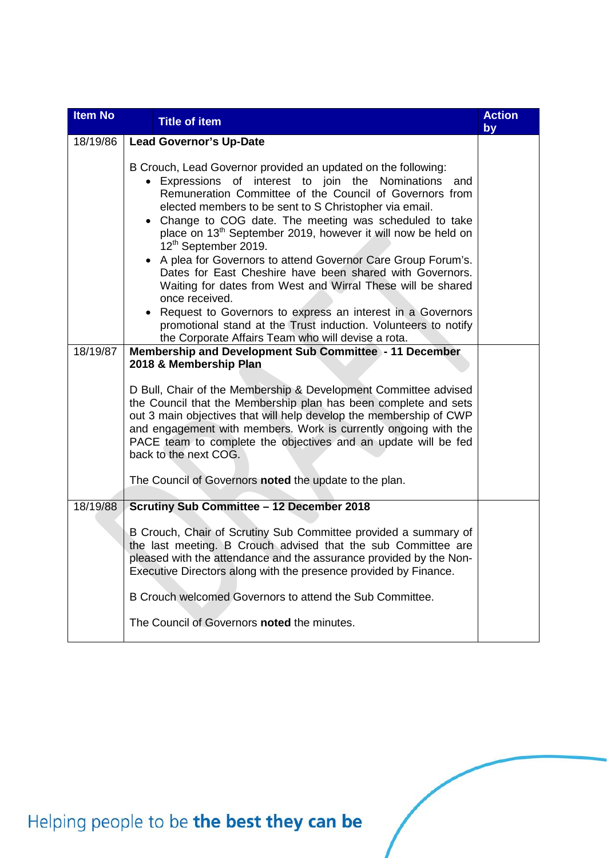| <b>Item No</b> | <b>Title of item</b>                                                                                                                                                                                                                                                                                                                                                                                                                                                                                                                                                                                                                                                                                                                                                                                                                                                                     | <b>Action</b><br>by |
|----------------|------------------------------------------------------------------------------------------------------------------------------------------------------------------------------------------------------------------------------------------------------------------------------------------------------------------------------------------------------------------------------------------------------------------------------------------------------------------------------------------------------------------------------------------------------------------------------------------------------------------------------------------------------------------------------------------------------------------------------------------------------------------------------------------------------------------------------------------------------------------------------------------|---------------------|
| 18/19/86       | <b>Lead Governor's Up-Date</b>                                                                                                                                                                                                                                                                                                                                                                                                                                                                                                                                                                                                                                                                                                                                                                                                                                                           |                     |
| 18/19/87       | B Crouch, Lead Governor provided an updated on the following:<br>Expressions of interest to join the Nominations<br>and<br>Remuneration Committee of the Council of Governors from<br>elected members to be sent to S Christopher via email.<br>Change to COG date. The meeting was scheduled to take<br>place on 13 <sup>th</sup> September 2019, however it will now be held on<br>12 <sup>th</sup> September 2019.<br>A plea for Governors to attend Governor Care Group Forum's.<br>Dates for East Cheshire have been shared with Governors.<br>Waiting for dates from West and Wirral These will be shared<br>once received.<br>Request to Governors to express an interest in a Governors<br>promotional stand at the Trust induction. Volunteers to notify<br>the Corporate Affairs Team who will devise a rota.<br><b>Membership and Development Sub Committee - 11 December</b> |                     |
|                | 2018 & Membership Plan                                                                                                                                                                                                                                                                                                                                                                                                                                                                                                                                                                                                                                                                                                                                                                                                                                                                   |                     |
|                | D Bull, Chair of the Membership & Development Committee advised<br>the Council that the Membership plan has been complete and sets<br>out 3 main objectives that will help develop the membership of CWP<br>and engagement with members. Work is currently ongoing with the<br>PACE team to complete the objectives and an update will be fed<br>back to the next COG.<br>The Council of Governors noted the update to the plan.                                                                                                                                                                                                                                                                                                                                                                                                                                                         |                     |
| 18/19/88       | <b>Scrutiny Sub Committee - 12 December 2018</b>                                                                                                                                                                                                                                                                                                                                                                                                                                                                                                                                                                                                                                                                                                                                                                                                                                         |                     |
|                | B Crouch, Chair of Scrutiny Sub Committee provided a summary of<br>the last meeting. B Crouch advised that the sub Committee are<br>pleased with the attendance and the assurance provided by the Non-<br>Executive Directors along with the presence provided by Finance.<br>B Crouch welcomed Governors to attend the Sub Committee.<br>The Council of Governors noted the minutes.                                                                                                                                                                                                                                                                                                                                                                                                                                                                                                    |                     |
|                |                                                                                                                                                                                                                                                                                                                                                                                                                                                                                                                                                                                                                                                                                                                                                                                                                                                                                          |                     |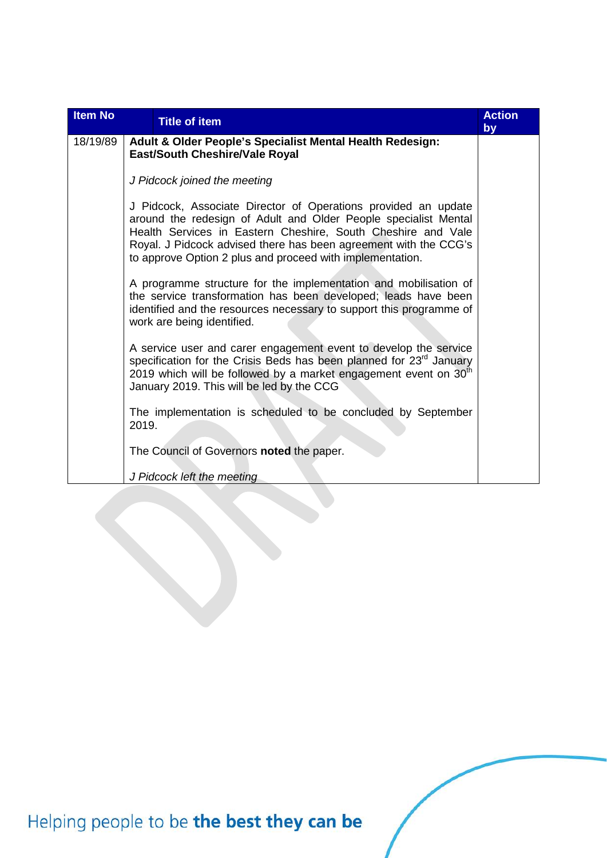| <b>Item No</b> | <b>Title of item</b>                                                                                                                                                                                                                                                                                                               | <b>Action</b><br>by |
|----------------|------------------------------------------------------------------------------------------------------------------------------------------------------------------------------------------------------------------------------------------------------------------------------------------------------------------------------------|---------------------|
| 18/19/89       | Adult & Older People's Specialist Mental Health Redesign:<br><b>East/South Cheshire/Vale Royal</b>                                                                                                                                                                                                                                 |                     |
|                | J Pidcock joined the meeting                                                                                                                                                                                                                                                                                                       |                     |
|                | J Pidcock, Associate Director of Operations provided an update<br>around the redesign of Adult and Older People specialist Mental<br>Health Services in Eastern Cheshire, South Cheshire and Vale<br>Royal. J Pidcock advised there has been agreement with the CCG's<br>to approve Option 2 plus and proceed with implementation. |                     |
|                | A programme structure for the implementation and mobilisation of<br>the service transformation has been developed; leads have been<br>identified and the resources necessary to support this programme of<br>work are being identified.                                                                                            |                     |
|                | A service user and carer engagement event to develop the service<br>specification for the Crisis Beds has been planned for 23 <sup>rd</sup> January<br>2019 which will be followed by a market engagement event on 30 <sup>th</sup><br>January 2019. This will be led by the CCG                                                   |                     |
|                | The implementation is scheduled to be concluded by September<br>2019.                                                                                                                                                                                                                                                              |                     |
|                | The Council of Governors noted the paper.                                                                                                                                                                                                                                                                                          |                     |
|                | J Pidcock left the meeting                                                                                                                                                                                                                                                                                                         |                     |